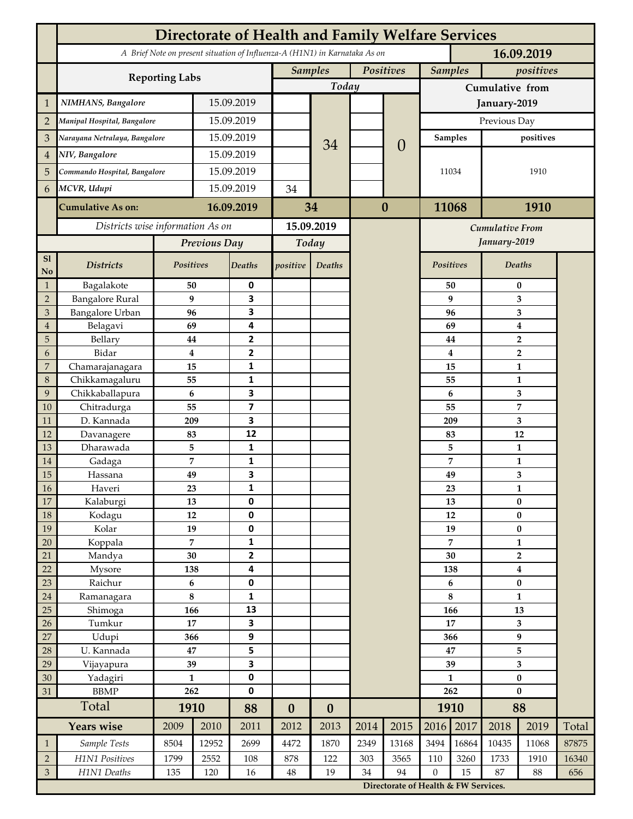|                             | <b>Directorate of Health and Family Welfare Services</b>                                 |                     |            |                         |                             |                          |          |                        |                                      |                 |                                             |                   |       |  |  |
|-----------------------------|------------------------------------------------------------------------------------------|---------------------|------------|-------------------------|-----------------------------|--------------------------|----------|------------------------|--------------------------------------|-----------------|---------------------------------------------|-------------------|-------|--|--|
|                             | A Brief Note on present situation of Influenza-A (H1N1) in Karnataka As on<br>16.09.2019 |                     |            |                         |                             |                          |          |                        |                                      |                 |                                             |                   |       |  |  |
|                             |                                                                                          |                     |            |                         | Positives<br><b>Samples</b> |                          |          | <b>Samples</b>         |                                      | positives       |                                             |                   |       |  |  |
|                             | <b>Reporting Labs</b>                                                                    |                     |            |                         |                             | Today                    |          |                        |                                      | Cumulative from |                                             |                   |       |  |  |
| $\mathbf{1}$                | NIMHANS, Bangalore                                                                       | 15.09.2019          |            |                         |                             |                          |          | January-2019           |                                      |                 |                                             |                   |       |  |  |
| $\overline{2}$              | Manipal Hospital, Bangalore                                                              |                     | 15.09.2019 |                         |                             |                          |          |                        | Previous Day                         |                 |                                             |                   |       |  |  |
| 3                           | Narayana Netralaya, Bangalore                                                            |                     |            | 15.09.2019              |                             |                          |          |                        |                                      | <b>Samples</b>  |                                             | positives         |       |  |  |
| $\overline{4}$              | NIV, Bangalore                                                                           |                     | 15.09.2019 |                         |                             | 34                       |          | $\theta$               |                                      |                 |                                             |                   |       |  |  |
| 5                           | Commando Hospital, Bangalore                                                             |                     | 15.09.2019 |                         |                             |                          |          |                        | 11034                                |                 | 1910                                        |                   |       |  |  |
| 6                           | MCVR, Udupi                                                                              |                     | 15.09.2019 |                         | 34                          |                          |          |                        |                                      |                 |                                             |                   |       |  |  |
|                             |                                                                                          |                     |            |                         |                             |                          | $\bf{0}$ |                        |                                      |                 |                                             |                   |       |  |  |
|                             | <b>Cumulative As on:</b>                                                                 |                     | 16.09.2019 |                         | 34                          |                          |          |                        | 11068                                |                 | 1910                                        |                   |       |  |  |
|                             | Districts wise information As on                                                         |                     |            | 15.09.2019              |                             |                          |          | <b>Cumulative From</b> |                                      |                 |                                             |                   |       |  |  |
|                             |                                                                                          | Previous Day        |            | Today                   |                             |                          |          |                        |                                      | January-2019    |                                             |                   |       |  |  |
| S1<br>No                    | <b>Districts</b>                                                                         | Positives           |            | Deaths                  | positive                    | Deaths                   |          |                        | <b>Positives</b>                     |                 |                                             | <b>Deaths</b>     |       |  |  |
| $\mathbf{1}$                | Bagalakote                                                                               | 50                  |            | 0                       |                             |                          |          |                        |                                      | 50              |                                             | $\bf{0}$          |       |  |  |
| $\overline{2}$              | <b>Bangalore Rural</b>                                                                   | 9                   |            | 3                       |                             |                          |          |                        |                                      | 9               | 3                                           |                   |       |  |  |
| 3                           | <b>Bangalore Urban</b>                                                                   | 96                  |            | 3                       |                             |                          |          |                        | 96                                   |                 |                                             | 3                 |       |  |  |
| $\overline{4}$              | Belagavi<br>Bellary                                                                      | 69                  |            | 4<br>2                  |                             |                          |          |                        |                                      | 69              | $\boldsymbol{4}$<br>$\overline{\mathbf{2}}$ |                   |       |  |  |
| 5<br>6                      | Bidar                                                                                    | 44<br>$\bf{4}$      |            | 2                       |                             |                          |          |                        |                                      | 44<br>4         |                                             | $\overline{2}$    |       |  |  |
| $\overline{7}$              | Chamarajanagara                                                                          | 15                  |            | 1                       |                             |                          |          |                        |                                      | 15              |                                             | $\mathbf{1}$      |       |  |  |
| 8                           | Chikkamagaluru                                                                           | 55                  |            | 1                       |                             |                          |          |                        |                                      | 55              |                                             | 1                 |       |  |  |
| 9                           | Chikkaballapura                                                                          | 6                   |            | 3                       |                             |                          |          |                        |                                      | 6               |                                             | 3                 |       |  |  |
| 10                          | Chitradurga                                                                              | 55                  |            | $\overline{\mathbf{z}}$ |                             |                          |          |                        | 55                                   |                 |                                             | $\overline{7}$    |       |  |  |
| 11                          | D. Kannada                                                                               | 209                 |            | 3                       |                             |                          |          |                        | 209                                  |                 |                                             | 3                 |       |  |  |
| 12                          | Davanagere                                                                               | 83                  |            | 12                      |                             |                          |          |                        | 83                                   |                 | 12                                          |                   |       |  |  |
| 13                          | Dharawada                                                                                | 5<br>7              |            | 1<br>1                  |                             |                          |          |                        |                                      | 5               |                                             | 1                 |       |  |  |
| 14<br>15                    | Gadaga<br>Hassana                                                                        | 49                  |            | 3                       |                             |                          |          |                        |                                      | 7<br>49         |                                             | $\mathbf{1}$<br>3 |       |  |  |
| 16                          | Haveri                                                                                   | 23                  |            | 1                       |                             |                          |          |                        |                                      | 23              |                                             | 1                 |       |  |  |
| 17                          | Kalaburgi                                                                                | 13                  |            | 0                       |                             |                          |          |                        |                                      | 13              | $\pmb{0}$                                   |                   |       |  |  |
| 18                          | Kodagu                                                                                   | $12\,$              |            | 0                       |                             |                          |          |                        |                                      | 12              |                                             | $\pmb{0}$         |       |  |  |
| 19                          | Kolar                                                                                    | 19                  |            | 0                       |                             |                          |          |                        |                                      | 19              |                                             | $\bf{0}$          |       |  |  |
| 20                          | Koppala                                                                                  | $\overline{7}$      |            | 1                       |                             |                          |          |                        | 7                                    |                 | $\mathbf{1}$                                |                   |       |  |  |
| 21                          | Mandya                                                                                   | 30                  |            | $\overline{\mathbf{2}}$ |                             |                          |          |                        |                                      | 30              |                                             | $\mathbf 2$       |       |  |  |
| 22<br>23                    | Mysore<br>Raichur                                                                        | 138<br>$\bf 6$      |            | 4<br>0                  |                             |                          |          |                        | 138<br>6                             |                 | $\boldsymbol{4}$<br>$\pmb{0}$               |                   |       |  |  |
| 24                          | Ramanagara                                                                               | $\bf 8$             |            | 1                       |                             |                          |          |                        |                                      | 8               |                                             | $\mathbf{1}$      |       |  |  |
| 25                          | Shimoga                                                                                  | 166                 |            | 13                      |                             |                          |          |                        | 166                                  |                 | 13                                          |                   |       |  |  |
| 26                          | Tumkur                                                                                   | 17                  |            | 3                       |                             |                          |          |                        | 17                                   |                 | 3                                           |                   |       |  |  |
| 27                          | Udupi                                                                                    | 366                 |            | 9                       |                             |                          |          |                        | 366                                  |                 | $\boldsymbol{9}$                            |                   |       |  |  |
| 28                          | U. Kannada                                                                               | 47                  |            | 5                       |                             |                          |          |                        | 47                                   |                 | 5                                           |                   |       |  |  |
| 29                          | Vijayapura                                                                               | 39                  |            | 3                       |                             |                          |          |                        | 39                                   |                 | 3                                           |                   |       |  |  |
| 30                          | Yadagiri                                                                                 | $\mathbf{1}$<br>262 |            | 0<br>0                  |                             |                          |          |                        | $\mathbf{1}$<br>262                  |                 | $\pmb{0}$<br>$\bf{0}$                       |                   |       |  |  |
| 31                          | <b>BBMP</b>                                                                              | 1910                |            |                         |                             |                          |          |                        | 1910                                 |                 | 88                                          |                   |       |  |  |
|                             | Total<br><b>Years wise</b>                                                               | 2009<br>2010        |            | 88<br>2011              | $\boldsymbol{0}$<br>2012    | $\boldsymbol{0}$<br>2013 | 2014     | 2015                   | 2016                                 | 2017            | 2018                                        | 2019              | Total |  |  |
|                             | Sample Tests                                                                             | 8504                | 12952      | 2699                    | 4472                        | 1870                     | 2349     | 13168                  | 3494                                 | 16864           | 10435                                       | 11068             | 87875 |  |  |
| $\mathbf{1}$<br>$\sqrt{2}$  | H1N1 Positives                                                                           | 1799                | 2552       | 108                     | 878                         | 122                      | 303      | 3565                   | 110                                  | 3260            | 1733                                        | 1910              | 16340 |  |  |
| $\ensuremath{\mathfrak{Z}}$ | H1N1 Deaths                                                                              | 135                 | 120        | 16                      | $48\,$                      | 19                       | 34       | 94                     | $\mathbf{0}$                         | 15              | 87                                          | 88                | 656   |  |  |
|                             |                                                                                          |                     |            |                         |                             |                          |          |                        | Directorate of Health & FW Services. |                 |                                             |                   |       |  |  |